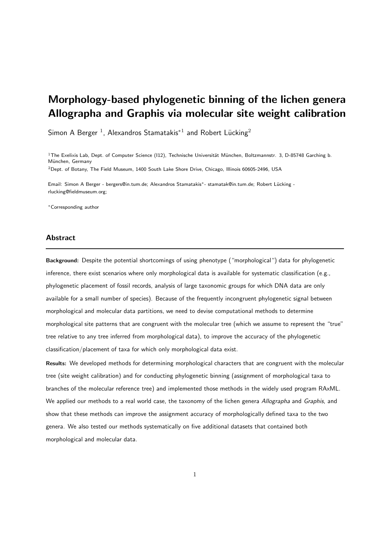# Morphology-based phylogenetic binning of the lichen genera Allographa and Graphis via molecular site weight calibration

Simon A Berger  $^1$ , Alexandros Stamatakis $^{\ast}{}^1$  and Robert Lücking $^2$ 

 $1$ The Exelixis Lab, Dept. of Computer Science (112), Technische Universität München, Boltzmannstr. 3, D-85748 Garching b. München, Germany

 $2$ Dept. of Botany, The Field Museum, 1400 South Lake Shore Drive, Chicago, Illinois 60605-2496, USA

.<br>Email: Simon A Berger - bergers@in.tum.de; Alexandros Stamatakis\*- stamatak@in.tum.de; Robert Lücking rlucking@fieldmuseum.org;

<sup>∗</sup>Corresponding author

#### Abstract

Background: Despite the potential shortcomings of using phenotype ("morphological") data for phylogenetic inference, there exist scenarios where only morphological data is available for systematic classification (e.g., phylogenetic placement of fossil records, analysis of large taxonomic groups for which DNA data are only available for a small number of species). Because of the frequently incongruent phylogenetic signal between morphological and molecular data partitions, we need to devise computational methods to determine morphological site patterns that are congruent with the molecular tree (which we assume to represent the "true" tree relative to any tree inferred from morphological data), to improve the accuracy of the phylogenetic classification/placement of taxa for which only morphological data exist.

Results: We developed methods for determining morphological characters that are congruent with the molecular tree (site weight calibration) and for conducting phylogenetic binning (assignment of morphological taxa to branches of the molecular reference tree) and implemented those methods in the widely used program RAxML. We applied our methods to a real world case, the taxonomy of the lichen genera Allographa and Graphis, and show that these methods can improve the assignment accuracy of morphologically defined taxa to the two genera. We also tested our methods systematically on five additional datasets that contained both morphological and molecular data.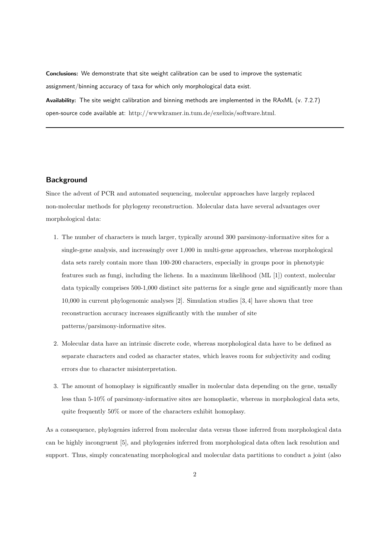Conclusions: We demonstrate that site weight calibration can be used to improve the systematic assignment/binning accuracy of taxa for which only morphological data exist.

Availability: The site weight calibration and binning methods are implemented in the RAxML (v. 7.2.7) open-source code available at: http://wwwkramer.in.tum.de/exelixis/software.html.

### **Background**

Since the advent of PCR and automated sequencing, molecular approaches have largely replaced non-molecular methods for phylogeny reconstruction. Molecular data have several advantages over morphological data:

- 1. The number of characters is much larger, typically around 300 parsimony-informative sites for a single-gene analysis, and increasingly over 1,000 in multi-gene approaches, whereas morphological data sets rarely contain more than 100-200 characters, especially in groups poor in phenotypic features such as fungi, including the lichens. In a maximum likelihood (ML [1]) context, molecular data typically comprises 500-1,000 distinct site patterns for a single gene and significantly more than 10,000 in current phylogenomic analyses [2]. Simulation studies [3, 4] have shown that tree reconstruction accuracy increases significantly with the number of site patterns/parsimony-informative sites.
- 2. Molecular data have an intrinsic discrete code, whereas morphological data have to be defined as separate characters and coded as character states, which leaves room for subjectivity and coding errors due to character misinterpretation.
- 3. The amount of homoplasy is significantly smaller in molecular data depending on the gene, usually less than 5-10% of parsimony-informative sites are homoplastic, whereas in morphological data sets, quite frequently 50% or more of the characters exhibit homoplasy.

As a consequence, phylogenies inferred from molecular data versus those inferred from morphological data can be highly incongruent [5], and phylogenies inferred from morphological data often lack resolution and support. Thus, simply concatenating morphological and molecular data partitions to conduct a joint (also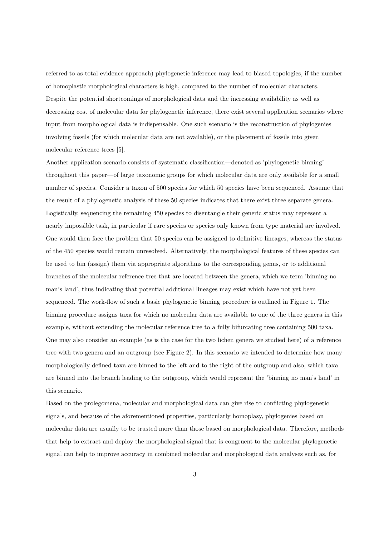referred to as total evidence approach) phylogenetic inference may lead to biased topologies, if the number of homoplastic morphological characters is high, compared to the number of molecular characters. Despite the potential shortcomings of morphological data and the increasing availability as well as decreasing cost of molecular data for phylogenetic inference, there exist several application scenarios where input from morphological data is indispensable. One such scenario is the reconstruction of phylogenies involving fossils (for which molecular data are not available), or the placement of fossils into given molecular reference trees [5].

Another application scenario consists of systematic classification—denoted as 'phylogenetic binning' throughout this paper—of large taxonomic groups for which molecular data are only available for a small number of species. Consider a taxon of 500 species for which 50 species have been sequenced. Assume that the result of a phylogenetic analysis of these 50 species indicates that there exist three separate genera. Logistically, sequencing the remaining 450 species to disentangle their generic status may represent a nearly impossible task, in particular if rare species or species only known from type material are involved. One would then face the problem that 50 species can be assigned to definitive lineages, whereas the status of the 450 species would remain unresolved. Alternatively, the morphological features of these species can be used to bin (assign) them via appropriate algorithms to the corresponding genus, or to additional branches of the molecular reference tree that are located between the genera, which we term 'binning no man's land', thus indicating that potential additional lineages may exist which have not yet been sequenced. The work-flow of such a basic phylogenetic binning procedure is outlined in Figure 1. The binning procedure assigns taxa for which no molecular data are available to one of the three genera in this example, without extending the molecular reference tree to a fully bifurcating tree containing 500 taxa. One may also consider an example (as is the case for the two lichen genera we studied here) of a reference tree with two genera and an outgroup (see Figure 2). In this scenario we intended to determine how many morphologically defined taxa are binned to the left and to the right of the outgroup and also, which taxa are binned into the branch leading to the outgroup, which would represent the 'binning no man's land' in this scenario.

Based on the prolegomena, molecular and morphological data can give rise to conflicting phylogenetic signals, and because of the aforementioned properties, particularly homoplasy, phylogenies based on molecular data are usually to be trusted more than those based on morphological data. Therefore, methods that help to extract and deploy the morphological signal that is congruent to the molecular phylogenetic signal can help to improve accuracy in combined molecular and morphological data analyses such as, for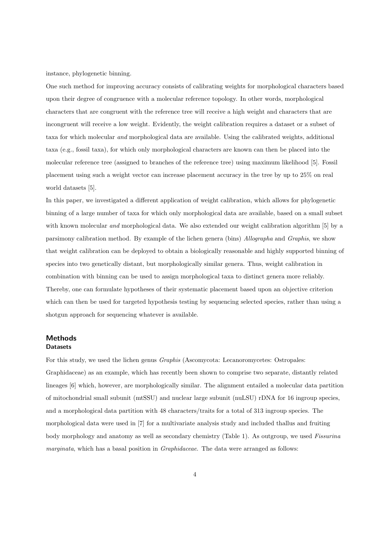instance, phylogenetic binning.

One such method for improving accuracy consists of calibrating weights for morphological characters based upon their degree of congruence with a molecular reference topology. In other words, morphological characters that are congruent with the reference tree will receive a high weight and characters that are incongruent will receive a low weight. Evidently, the weight calibration requires a dataset or a subset of taxa for which molecular and morphological data are available. Using the calibrated weights, additional taxa (e.g., fossil taxa), for which only morphological characters are known can then be placed into the molecular reference tree (assigned to branches of the reference tree) using maximum likelihood [5]. Fossil placement using such a weight vector can increase placement accuracy in the tree by up to 25% on real world datasets [5].

In this paper, we investigated a different application of weight calibration, which allows for phylogenetic binning of a large number of taxa for which only morphological data are available, based on a small subset with known molecular *and* morphological data. We also extended our weight calibration algorithm [5] by a parsimony calibration method. By example of the lichen genera (bins) Allographa and Graphis, we show that weight calibration can be deployed to obtain a biologically reasonable and highly supported binning of species into two genetically distant, but morphologically similar genera. Thus, weight calibration in combination with binning can be used to assign morphological taxa to distinct genera more reliably. Thereby, one can formulate hypotheses of their systematic placement based upon an objective criterion which can then be used for targeted hypothesis testing by sequencing selected species, rather than using a shotgun approach for sequencing whatever is available.

## Methods **Datasets**

For this study, we used the lichen genus Graphis (Ascomycota: Lecanoromycetes: Ostropales: Graphidaceae) as an example, which has recently been shown to comprise two separate, distantly related lineages [6] which, however, are morphologically similar. The alignment entailed a molecular data partition of mitochondrial small subunit (mtSSU) and nuclear large subunit (nuLSU) rDNA for 16 ingroup species, and a morphological data partition with 48 characters/traits for a total of 313 ingroup species. The morphological data were used in [7] for a multivariate analysis study and included thallus and fruiting body morphology and anatomy as well as secondary chemistry (Table 1). As outgroup, we used Fissurina marginata, which has a basal position in *Graphidaceae*. The data were arranged as follows: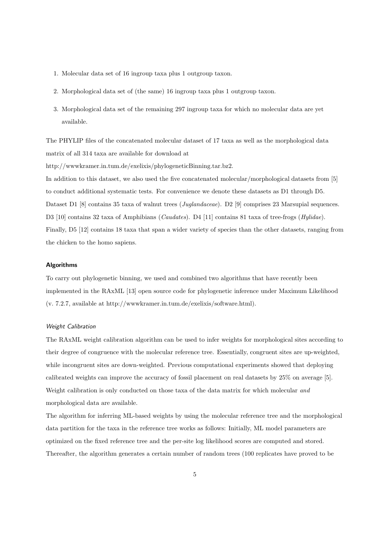- 1. Molecular data set of 16 ingroup taxa plus 1 outgroup taxon.
- 2. Morphological data set of (the same) 16 ingroup taxa plus 1 outgroup taxon.
- 3. Morphological data set of the remaining 297 ingroup taxa for which no molecular data are yet available.

The PHYLIP files of the concatenated molecular dataset of 17 taxa as well as the morphological data matrix of all 314 taxa are available for download at

http://wwwkramer.in.tum.de/exelixis/phylogeneticBinning.tar.bz2.

In addition to this dataset, we also used the five concatenated molecular/morphological datasets from [5] to conduct additional systematic tests. For convenience we denote these datasets as D1 through D5. Dataset D1 [8] contains 35 taxa of walnut trees (*Juglandaceae*). D2 [9] comprises 23 Marsupial sequences. D3 [10] contains 32 taxa of Amphibians (*Caudates*). D4 [11] contains 81 taxa of tree-frogs (*Hylidae*). Finally, D5 [12] contains 18 taxa that span a wider variety of species than the other datasets, ranging from the chicken to the homo sapiens.

#### Algorithms

To carry out phylogenetic binning, we used and combined two algorithms that have recently been implemented in the RAxML [13] open source code for phylogenetic inference under Maximum Likelihood (v. 7.2.7, available at http://wwwkramer.in.tum.de/exelixis/software.html).

#### Weight Calibration

The RAxML weight calibration algorithm can be used to infer weights for morphological sites according to their degree of congruence with the molecular reference tree. Essentially, congruent sites are up-weighted, while incongruent sites are down-weighted. Previous computational experiments showed that deploying calibrated weights can improve the accuracy of fossil placement on real datasets by 25% on average [5]. Weight calibration is only conducted on those taxa of the data matrix for which molecular and morphological data are available.

The algorithm for inferring ML-based weights by using the molecular reference tree and the morphological data partition for the taxa in the reference tree works as follows: Initially, ML model parameters are optimized on the fixed reference tree and the per-site log likelihood scores are computed and stored. Thereafter, the algorithm generates a certain number of random trees (100 replicates have proved to be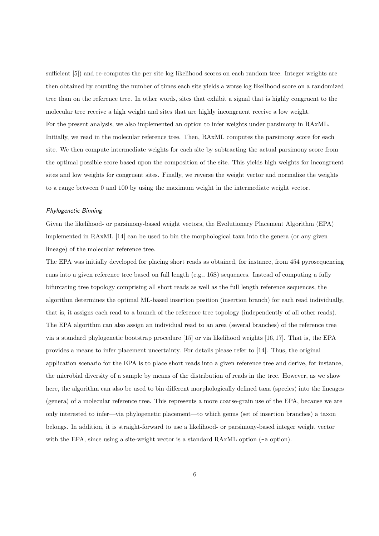sufficient [5]) and re-computes the per site log likelihood scores on each random tree. Integer weights are then obtained by counting the number of times each site yields a worse log likelihood score on a randomized tree than on the reference tree. In other words, sites that exhibit a signal that is highly congruent to the molecular tree receive a high weight and sites that are highly incongruent receive a low weight. For the present analysis, we also implemented an option to infer weights under parsimony in RAxML. Initially, we read in the molecular reference tree. Then, RAxML computes the parsimony score for each site. We then compute intermediate weights for each site by subtracting the actual parsimony score from the optimal possible score based upon the composition of the site. This yields high weights for incongruent sites and low weights for congruent sites. Finally, we reverse the weight vector and normalize the weights to a range between 0 and 100 by using the maximum weight in the intermediate weight vector.

#### Phylogenetic Binning

Given the likelihood- or parsimony-based weight vectors, the Evolutionary Placement Algorithm (EPA) implemented in RAxML [14] can be used to bin the morphological taxa into the genera (or any given lineage) of the molecular reference tree.

The EPA was initially developed for placing short reads as obtained, for instance, from 454 pyrosequencing runs into a given reference tree based on full length (e.g., 16S) sequences. Instead of computing a fully bifurcating tree topology comprising all short reads as well as the full length reference sequences, the algorithm determines the optimal ML-based insertion position (insertion branch) for each read individually, that is, it assigns each read to a branch of the reference tree topology (independently of all other reads). The EPA algorithm can also assign an individual read to an area (several branches) of the reference tree via a standard phylogenetic bootstrap procedure [15] or via likelihood weights [16, 17]. That is, the EPA provides a means to infer placement uncertainty. For details please refer to [14]. Thus, the original application scenario for the EPA is to place short reads into a given reference tree and derive, for instance, the microbial diversity of a sample by means of the distribution of reads in the tree. However, as we show here, the algorithm can also be used to bin different morphologically defined taxa (species) into the lineages (genera) of a molecular reference tree. This represents a more coarse-grain use of the EPA, because we are only interested to infer—via phylogenetic placement—to which genus (set of insertion branches) a taxon belongs. In addition, it is straight-forward to use a likelihood- or parsimony-based integer weight vector with the EPA, since using a site-weight vector is a standard RAxML option ( $-a$  option).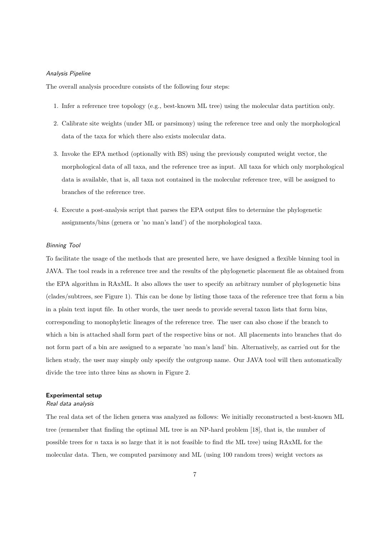### Analysis Pipeline

The overall analysis procedure consists of the following four steps:

- 1. Infer a reference tree topology (e.g., best-known ML tree) using the molecular data partition only.
- 2. Calibrate site weights (under ML or parsimony) using the reference tree and only the morphological data of the taxa for which there also exists molecular data.
- 3. Invoke the EPA method (optionally with BS) using the previously computed weight vector, the morphological data of all taxa, and the reference tree as input. All taxa for which only morphological data is available, that is, all taxa not contained in the molecular reference tree, will be assigned to branches of the reference tree.
- 4. Execute a post-analysis script that parses the EPA output files to determine the phylogenetic assignments/bins (genera or 'no man's land') of the morphological taxa.

#### Binning Tool

To facilitate the usage of the methods that are presented here, we have designed a flexible binning tool in JAVA. The tool reads in a reference tree and the results of the phylogenetic placement file as obtained from the EPA algorithm in RAxML. It also allows the user to specify an arbitrary number of phylogenetic bins (clades/subtrees, see Figure 1). This can be done by listing those taxa of the reference tree that form a bin in a plain text input file. In other words, the user needs to provide several taxon lists that form bins, corresponding to monophyletic lineages of the reference tree. The user can also chose if the branch to which a bin is attached shall form part of the respective bins or not. All placements into branches that do not form part of a bin are assigned to a separate 'no man's land' bin. Alternatively, as carried out for the lichen study, the user may simply only specify the outgroup name. Our JAVA tool will then automatically divide the tree into three bins as shown in Figure 2.

#### Experimental setup

#### Real data analysis

The real data set of the lichen genera was analyzed as follows: We initially reconstructed a best-known ML tree (remember that finding the optimal ML tree is an NP-hard problem [18], that is, the number of possible trees for n taxa is so large that it is not feasible to find the ML tree) using RAxML for the molecular data. Then, we computed parsimony and ML (using 100 random trees) weight vectors as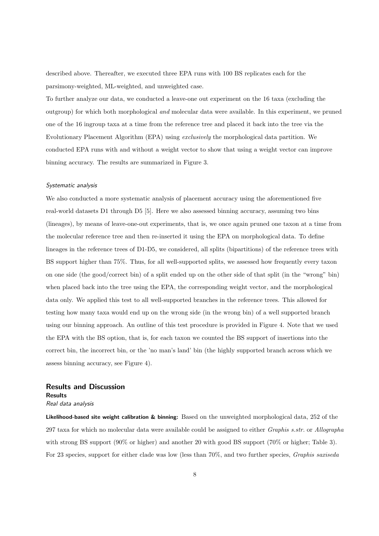described above. Thereafter, we executed three EPA runs with 100 BS replicates each for the parsimony-weighted, ML-weighted, and unweighted case.

To further analyze our data, we conducted a leave-one out experiment on the 16 taxa (excluding the outgroup) for which both morphological and molecular data were available. In this experiment, we pruned one of the 16 ingroup taxa at a time from the reference tree and placed it back into the tree via the Evolutionary Placement Algorithm (EPA) using exclusively the morphological data partition. We conducted EPA runs with and without a weight vector to show that using a weight vector can improve binning accuracy. The results are summarized in Figure 3.

#### Systematic analysis

We also conducted a more systematic analysis of placement accuracy using the aforementioned five real-world datasets D1 through D5 [5]. Here we also assessed binning accuracy, assuming two bins (lineages), by means of leave-one-out experiments, that is, we once again pruned one taxon at a time from the molecular reference tree and then re-inserted it using the EPA on morphological data. To define lineages in the reference trees of D1-D5, we considered, all splits (bipartitions) of the reference trees with BS support higher than 75%. Thus, for all well-supported splits, we assessed how frequently every taxon on one side (the good/correct bin) of a split ended up on the other side of that split (in the "wrong" bin) when placed back into the tree using the EPA, the corresponding weight vector, and the morphological data only. We applied this test to all well-supported branches in the reference trees. This allowed for testing how many taxa would end up on the wrong side (in the wrong bin) of a well supported branch using our binning approach. An outline of this test procedure is provided in Figure 4. Note that we used the EPA with the BS option, that is, for each taxon we counted the BS support of insertions into the correct bin, the incorrect bin, or the 'no man's land' bin (the highly supported branch across which we assess binning accuracy, see Figure 4).

# Results and Discussion Results

Real data analysis

Likelihood-based site weight calibration & binning: Based on the unweighted morphological data, 252 of the 297 taxa for which no molecular data were available could be assigned to either Graphis s.str. or Allographa with strong BS support (90% or higher) and another 20 with good BS support (70% or higher; Table 3). For 23 species, support for either clade was low (less than 70%, and two further species, Graphis saxiseda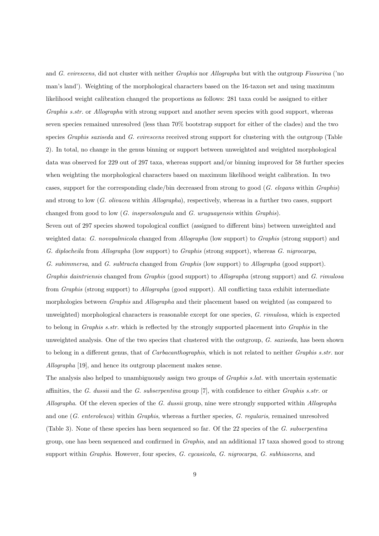and G. evirescens, did not cluster with neither Graphis nor Allographa but with the outgroup Fissurina ('no man's land'). Weighting of the morphological characters based on the 16-taxon set and using maximum likelihood weight calibration changed the proportions as follows: 281 taxa could be assigned to either Graphis s.str. or Allographa with strong support and another seven species with good support, whereas seven species remained unresolved (less than 70% bootstrap support for either of the clades) and the two species *Graphis saxiseda* and *G. evirescens* received strong support for clustering with the outgroup (Table 2). In total, no change in the genus binning or support between unweighted and weighted morphological data was observed for 229 out of 297 taxa, whereas support and/or binning improved for 58 further species when weighting the morphological characters based on maximum likelihood weight calibration. In two cases, support for the corresponding clade/bin decreased from strong to good (G. elegans within Graphis) and strong to low (G. olivacea within Allographa), respectively, whereas in a further two cases, support changed from good to low  $(G.$  inspersolongula and  $G.$  uruguayensis within  $Graphis$ . Seven out of 297 species showed topological conflict (assigned to different bins) between unweighted and weighted data: G. novopalmicola changed from Allographa (low support) to Graphis (strong support) and G. diplocheila from Allographa (low support) to Graphis (strong support), whereas G. nigrocarpa, G. subimmersa, and G. subtracta changed from Graphis (low support) to Allographa (good support). Graphis daintriensis changed from Graphis (good support) to Allographa (strong support) and G. rimulosa from Graphis (strong support) to Allographa (good support). All conflicting taxa exhibit intermediate morphologies between Graphis and Allographa and their placement based on weighted (as compared to unweighted) morphological characters is reasonable except for one species, G. rimulosa, which is expected to belong in Graphis s.str. which is reflected by the strongly supported placement into Graphis in the unweighted analysis. One of the two species that clustered with the outgroup, G. saxiseda, has been shown to belong in a different genus, that of Carbacanthographis, which is not related to neither Graphis s.str. nor Allographa [19], and hence its outgroup placement makes sense.

The analysis also helped to unambiguously assign two groups of Graphis s.lat. with uncertain systematic affinities, the G. dussii and the G. subserpentina group  $[7]$ , with confidence to either Graphis s.str. or Allographa. Of the eleven species of the G. dussii group, nine were strongly supported within Allographa and one (G. enteroleuca) within Graphis, whereas a further species, G. regularis, remained unresolved (Table 3). None of these species has been sequenced so far. Of the 22 species of the G. subserpentina group, one has been sequenced and confirmed in Graphis, and an additional 17 taxa showed good to strong support within *Graphis*. However, four species, *G. cycasicola*, *G. nigrocarpa*, *G. subhiascens*, and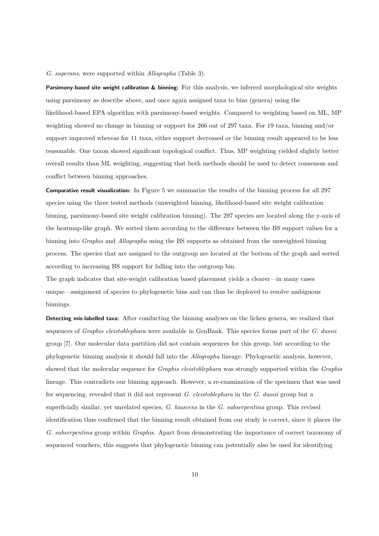#### G. superans, were supported within Allographa (Table 3).

Parsimony-based site weight calibration & binning: For this analysis, we inferred morphological site weights using parsimony as describe above, and once again assigned taxa to bins (genera) using the likelihood-based EPA algorithm with parsimony-based weights. Compared to weighting based on ML, MP weighting showed no change in binning or support for 266 out of 297 taxa. For 19 taxa, binning and/or support improved whereas for 11 taxa, either support decreased or the binning result appeared to be less reasonable. One taxon showed significant topological conflict. Thus, MP weighting yielded slightly better overall results than ML weighting, suggesting that both methods should be used to detect consensus and conflict between binning approaches.

Comparative result visualization: In Figure 5 we summarize the results of the binning process for all 297 species using the three tested methods (unweighted binning, likelihood-based site weight calibration binning, parsimony-based site weight calibration binning). The 297 species are located along the y-axis of the heatmap-like graph. We sorted them according to the difference between the BS support values for a binning into *Graphis* and *Allographa* using the BS supports as obtained from the unweighted binning process. The species that are assigned to the outgroup are located at the bottom of the graph and sorted according to increasing BS support for falling into the outgroup bin.

The graph indicates that site-weight calibration based placement yields a clearer—in many cases unique—assignment of species to phylogenetic bins and can thus be deployed to resolve ambiguous binnings.

Detecting mis-labelled taxa: After conducting the binning analyses on the lichen genera, we realized that sequences of *Graphis cleistoblephara* were available in GenBank. This species forms part of the G. dussii group [7]. Our molecular data partition did not contain sequences for this group, but according to the phylogenetic binning analysis it should fall into the Allographa lineage. Phylogenetic analysis, however, showed that the molecular sequence for *Graphis cleistoblephara* was strongly supported within the *Graphis* lineage. This contradicts our binning approach. However, a re-examination of the specimen that was used for sequencing, revealed that it did not represent G. cleistoblephara in the G. dussii group but a superficially similar, yet unrelated species, G. hiascens in the G. subserpentina group. This revised identification thus confirmed that the binning result obtained from our study is correct, since it places the G. subserpentina group within Graphis. Apart from demonstrating the importance of correct taxonomy of sequenced vouchers, this suggests that phylogenetic binning can potentially also be used for identifying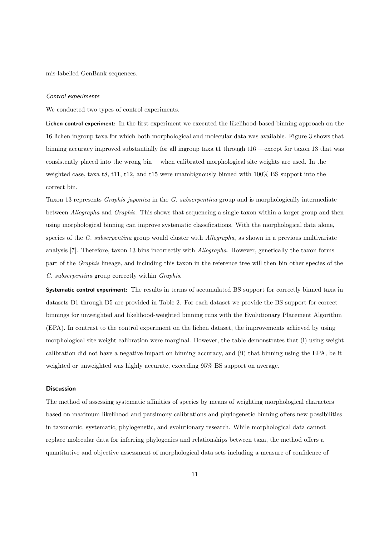mis-labelled GenBank sequences.

#### Control experiments

We conducted two types of control experiments.

Lichen control experiment: In the first experiment we executed the likelihood-based binning approach on the 16 lichen ingroup taxa for which both morphological and molecular data was available. Figure 3 shows that binning accuracy improved substantially for all ingroup taxa t1 through t16 —except for taxon 13 that was consistently placed into the wrong bin— when calibrated morphological site weights are used. In the weighted case, taxa t8, t11, t12, and t15 were unambiguously binned with 100% BS support into the correct bin.

Taxon 13 represents Graphis japonica in the G. subserpentina group and is morphologically intermediate between Allographa and Graphis. This shows that sequencing a single taxon within a larger group and then using morphological binning can improve systematic classifications. With the morphological data alone, species of the G. subserpentina group would cluster with Allographa, as shown in a previous multivariate analysis [7]. Therefore, taxon 13 bins incorrectly with Allographa. However, genetically the taxon forms part of the Graphis lineage, and including this taxon in the reference tree will then bin other species of the G. subserpentina group correctly within Graphis.

Systematic control experiment: The results in terms of accumulated BS support for correctly binned taxa in datasets D1 through D5 are provided in Table 2. For each dataset we provide the BS support for correct binnings for unweighted and likelihood-weighted binning runs with the Evolutionary Placement Algorithm (EPA). In contrast to the control experiment on the lichen dataset, the improvements achieved by using morphological site weight calibration were marginal. However, the table demonstrates that (i) using weight calibration did not have a negative impact on binning accuracy, and (ii) that binning using the EPA, be it weighted or unweighted was highly accurate, exceeding 95% BS support on average.

#### **Discussion**

The method of assessing systematic affinities of species by means of weighting morphological characters based on maximum likelihood and parsimony calibrations and phylogenetic binning offers new possibilities in taxonomic, systematic, phylogenetic, and evolutionary research. While morphological data cannot replace molecular data for inferring phylogenies and relationships between taxa, the method offers a quantitative and objective assessment of morphological data sets including a measure of confidence of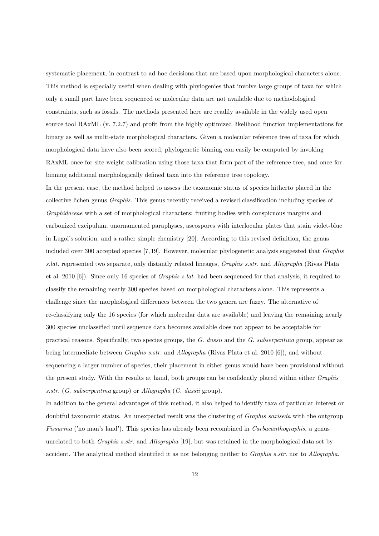systematic placement, in contrast to ad hoc decisions that are based upon morphological characters alone. This method is especially useful when dealing with phylogenies that involve large groups of taxa for which only a small part have been sequenced or molecular data are not available due to methodological constraints, such as fossils. The methods presented here are readily available in the widely used open source tool RAxML (v. 7.2.7) and profit from the highly optimized likelihood function implementations for binary as well as multi-state morphological characters. Given a molecular reference tree of taxa for which morphological data have also been scored, phylogenetic binning can easily be computed by invoking RAxML once for site weight calibration using those taxa that form part of the reference tree, and once for binning additional morphologically defined taxa into the reference tree topology.

In the present case, the method helped to assess the taxonomic status of species hitherto placed in the collective lichen genus Graphis. This genus recently received a revised classification including species of Graphidaceae with a set of morphological characters: fruiting bodies with conspicuous margins and carbonized excipulum, unornamented paraphyses, ascospores with interlocular plates that stain violet-blue in Lugol's solution, and a rather simple chemistry [20]. According to this revised definition, the genus included over 300 accepted species [7, 19]. However, molecular phylogenetic analysis suggested that Graphis s.lat. represented two separate, only distantly related lineages, Graphis s.str. and Allographa (Rivas Plata et al. 2010 [6]). Since only 16 species of Graphis s.lat. had been sequenced for that analysis, it required to classify the remaining nearly 300 species based on morphological characters alone. This represents a challenge since the morphological differences between the two genera are fuzzy. The alternative of re-classifying only the 16 species (for which molecular data are available) and leaving the remaining nearly 300 species unclassified until sequence data becomes available does not appear to be acceptable for practical reasons. Specifically, two species groups, the G. dussii and the G. subserpentina group, appear as being intermediate between Graphis s.str. and Allographa (Rivas Plata et al. 2010 [6]), and without sequencing a larger number of species, their placement in either genus would have been provisional without the present study. With the results at hand, both groups can be confidently placed within either Graphis s.str. (G. subserpentina group) or Allographa (G. dussii group).

In addition to the general advantages of this method, it also helped to identify taxa of particular interest or doubtful taxonomic status. An unexpected result was the clustering of Graphis saxiseda with the outgroup Fissurina ('no man's land'). This species has already been recombined in Carbacanthographis, a genus unrelated to both *Graphis s.str.* and *Allographa* [19], but was retained in the morphological data set by accident. The analytical method identified it as not belonging neither to Graphis s.str. nor to Allographa.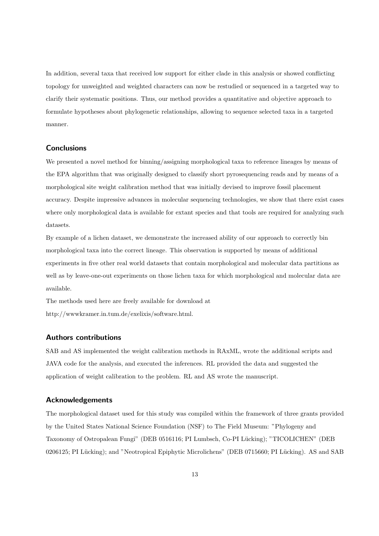In addition, several taxa that received low support for either clade in this analysis or showed conflicting topology for unweighted and weighted characters can now be restudied or sequenced in a targeted way to clarify their systematic positions. Thus, our method provides a quantitative and objective approach to formulate hypotheses about phylogenetic relationships, allowing to sequence selected taxa in a targeted manner.

### **Conclusions**

We presented a novel method for binning/assigning morphological taxa to reference lineages by means of the EPA algorithm that was originally designed to classify short pyrosequencing reads and by means of a morphological site weight calibration method that was initially devised to improve fossil placement accuracy. Despite impressive advances in molecular sequencing technologies, we show that there exist cases where only morphological data is available for extant species and that tools are required for analyzing such datasets.

By example of a lichen dataset, we demonstrate the increased ability of our approach to correctly bin morphological taxa into the correct lineage. This observation is supported by means of additional experiments in five other real world datasets that contain morphological and molecular data partitions as well as by leave-one-out experiments on those lichen taxa for which morphological and molecular data are available.

The methods used here are freely available for download at http://wwwkramer.in.tum.de/exelixis/software.html.

# Authors contributions

SAB and AS implemented the weight calibration methods in RAxML, wrote the additional scripts and JAVA code for the analysis, and executed the inferences. RL provided the data and suggested the application of weight calibration to the problem. RL and AS wrote the manuscript.

### Acknowledgements

The morphological dataset used for this study was compiled within the framework of three grants provided by the United States National Science Foundation (NSF) to The Field Museum: "Phylogeny and Taxonomy of Ostropalean Fungi" (DEB 0516116; PI Lumbsch, Co-PI Lücking); "TICOLICHEN" (DEB 0206125; PI Lücking); and "Neotropical Epiphytic Microlichens" (DEB 0715660; PI Lücking). AS and SAB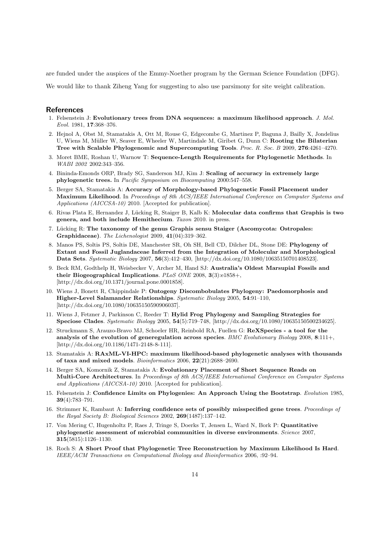are funded under the auspices of the Emmy-Noether program by the German Science Foundation (DFG).

We would like to thank Ziheng Yang for suggesting to also use parsimony for site weight calibration.

#### References

- 1. Felsenstein J: Evolutionary trees from DNA sequences: a maximum likelihood approach. J. Mol. Evol. 1981, 17:368–376.
- 2. Hejnol A, Obst M, Stamatakis A, Ott M, Rouse G, Edgecombe G, Martinez P, Baguna J, Bailly X, Jondelius U, Wiens M, Müller W, Seaver E, Wheeler W, Martindale M, Giribet G, Dunn C: Rooting the Bilaterian Tree with Scalable Phylogenomic and Supercomputing Tools. Proc. R. Soc. B 2009, 276:4261–4270.
- 3. Moret BME, Roshan U, Warnow T: Sequence-Length Requirements for Phylogenetic Methods. In WABI 2002 2002:343–356.
- 4. Bininda-Emonds ORP, Brady SG, Sanderson MJ, Kim J: Scaling of accuracy in extremely large phylogenetic trees. In Pacific Symposium on Biocomputing 2000:547–558.
- 5. Berger SA, Stamatakis A: Accuracy of Morphology-based Phylogenetic Fossil Placement under Maximum Likelihood. In Proceedings of 8th ACS/IEEE International Conference on Computer Systems and Applications (AICCSA-10) 2010. [Accepted for publication].
- 6. Rivas Plata E, Hernandez J, Lücking R, Staiger B, Kalb K: Molecular data confirms that Graphis is two genera, and both include Hemithecium. Taxon 2010. in press.
- 7. Lücking R: The taxonomy of the genus Graphis sensu Staiger (Ascomycota: Ostropales: Graphidaceae). The Lichenologist 2009, 41(04):319–362.
- 8. Manos PS, Soltis PS, Soltis DE, Manchester SR, Oh SH, Bell CD, Dilcher DL, Stone DE: Phylogeny of Extant and Fossil Juglandaceae Inferred from the Integration of Molecular and Morphological Data Sets. Systematic Biology 2007, 56(3):412–430, [http://dx.doi.org/10.1080/10635150701408523].
- 9. Beck RM, Godthelp H, Weisbecker V, Archer M, Hand SJ: Australia's Oldest Marsupial Fossils and their Biogeographical Implications. PLoS ONE 2008,  $3(3):e1858+$ , [http://dx.doi.org/10.1371/journal.pone.0001858].
- 10. Wiens J, Bonett R, Chippindale P: Ontogeny Discombobulates Phylogeny: Paedomorphosis and Higher-Level Salamander Relationships. Systematic Biology 2005, 54:91–110, [http://dx.doi.org/10.1080/10635150590906037].
- 11. Wiens J, Fetzner J, Parkinson C, Reeder T: Hylid Frog Phylogeny and Sampling Strategies for Speciose Clades. Systematic Biology 2005, 54(5):719–748, [http://dx.doi.org/10.1080/10635150500234625].
- 12. Struckmann S, Arauzo-Bravo MJ, Schoeler HR, Reinbold RA, Fuellen G: ReXSpecies a tool for the analysis of the evolution of generegulation across species.  $BMC$  Evolutionary Biology 2008, 8:111+, [http://dx.doi.org/10.1186/1471-2148-8-111].
- 13. Stamatakis A: RAxML-VI-HPC: maximum likelihood-based phylogenetic analyses with thousands of taxa and mixed models. Bioinformatics 2006, 22(21):2688–2690.
- 14. Berger SA, Komornik Z, Stamatakis A: Evolutionary Placement of Short Sequence Reads on Multi-Core Architectures. In Proceedings of 8th ACS/IEEE International Conference on Computer Systems and Applications (AICCSA-10) 2010. [Accepted for publication].
- 15. Felsenstein J: Confidence Limits on Phylogenies: An Approach Using the Bootstrap. Evolution 1985, 39(4):783–791.
- 16. Strimmer K, Rambaut A: Inferring confidence sets of possibly misspecified gene trees. Proceedings of the Royal Society B: Biological Sciences 2002, 269(1487):137–142.
- 17. Von Mering C, Hugenholtz P, Raes J, Tringe S, Doerks T, Jensen L, Ward N, Bork P: Quantitative phylogenetic assessment of microbial communities in diverse environments. Science 2007, 315(5815):1126–1130.
- 18. Roch S: A Short Proof that Phylogenetic Tree Reconstruction by Maximum Likelihood Is Hard. IEEE/ACM Transactions on Computational Biology and Bioinformatics 2006, :92–94.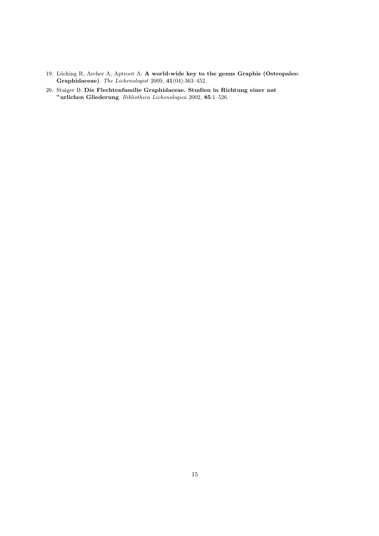- 19. Lücking R, Archer A, Aptroot A: A world-wide key to the genus Graphis (Ostropales: Graphidaceae). The Lichenologist 2009, 41(04):363–452.
- 20. Staiger B: Die Flechtenfamilie Graphidaceae. Studien in Richtung einer nat "urlichen Gliederung. Bibliotheca Lichenologica 2002, 85:1–526.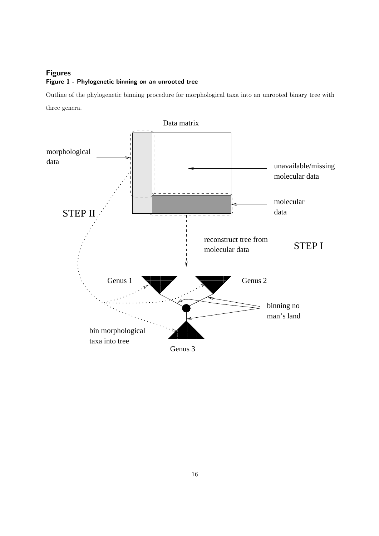# Figures Figure 1 - Phylogenetic binning on an unrooted tree

Outline of the phylogenetic binning procedure for morphological taxa into an unrooted binary tree with three genera.

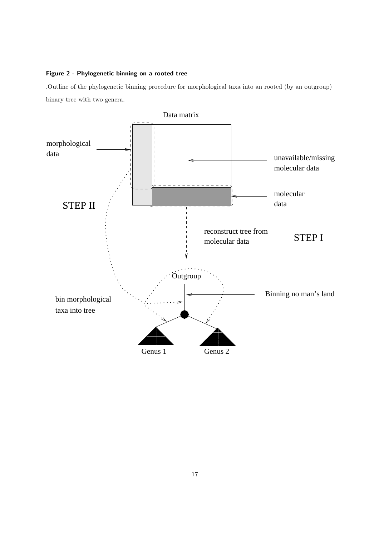# Figure 2 - Phylogenetic binning on a rooted tree

.Outline of the phylogenetic binning procedure for morphological taxa into an rooted (by an outgroup) binary tree with two genera.

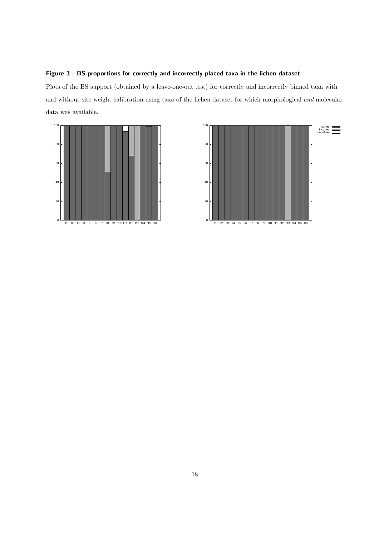# Figure 3 - BS proportions for correctly and incorrectly placed taxa in the lichen dataset

Plots of the BS support (obtained by a leave-one-out test) for correctly and incorrectly binned taxa with and without site weight calibration using taxa of the lichen dataset for which morphological and molecular data was available.



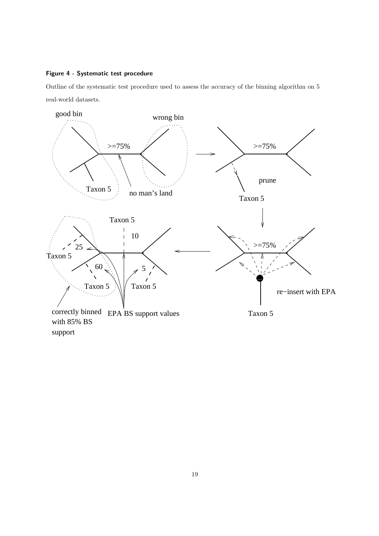# Figure 4 - Systematic test procedure

Outline of the systematic test procedure used to assess the accuracy of the binning algorithm on 5 real-world datasets.



support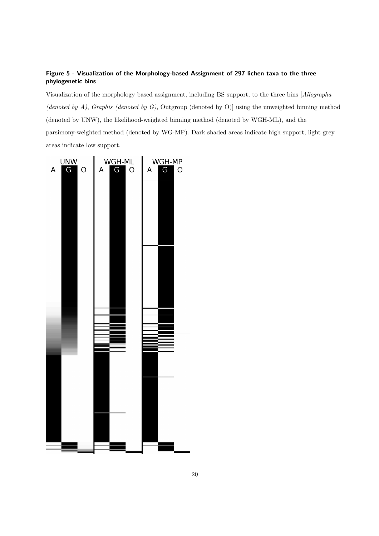# Figure 5 - Visualization of the Morphology-based Assignment of 297 lichen taxa to the three phylogenetic bins

Visualization of the morphology based assignment, including BS support, to the three bins [Allographa (denoted by A), Graphis (denoted by G), Outgroup (denoted by O)] using the unweighted binning method (denoted by UNW), the likelihood-weighted binning method (denoted by WGH-ML), and the parsimony-weighted method (denoted by WG-MP). Dark shaded areas indicate high support, light grey areas indicate low support.

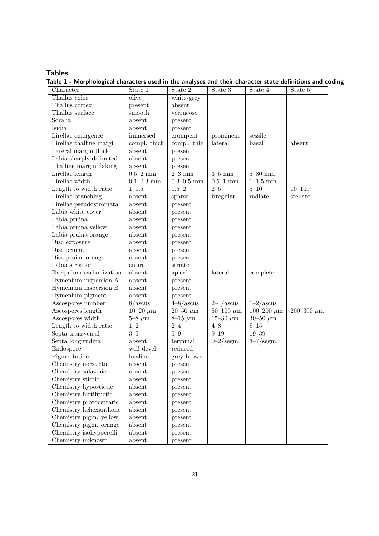# Tables

Table 1 - Morphological characters used in the analyses and their character state definitions and coding

| Character               | State 1              | State 2           | $State$ 3           | State 4             | State 5         |
|-------------------------|----------------------|-------------------|---------------------|---------------------|-----------------|
| Thallus color           | olive                | white-grey        |                     |                     |                 |
| Thallus cortex          | present              | absent            |                     |                     |                 |
| Thallus surface         | smooth               | verrucose         |                     |                     |                 |
| Soralia                 | absent               | present           |                     |                     |                 |
| Isidia                  | absent               | present           |                     |                     |                 |
| Lirellae emergence      | immersed             | erumpent          | prominent           | sessile             |                 |
| Lirellae thalline margi | compl. thick         | compl. thin       | lateral             | basal               | absent          |
| Lateral margin thick    | absent               | present           |                     |                     |                 |
| Labia sharply delimited | absent               | present           |                     |                     |                 |
| Thalline margin flaking | absent               | present           |                     |                     |                 |
| Lirellae length         | $0.5 - 2$ mm         | $2-3$ mm          | $3-5$ mm            | $5 - 80$ mm         |                 |
| Lirellae width          | $0.1\text{--}0.3$ mm | $0.3 - 0.5$ mm    | $0.5\text{--}1$ mm  | $1 - 1.5$ mm        |                 |
| Length to width ratio   | $1 - 1.5$            | $1.5 - 2$         | $2 - 5$             | $5 - 10$            | $10 - 100$      |
| Lirellae branching      | absent               | sparse            | irregular           | radiate             | stellate        |
| Lirellae pseudostromata | absent               | present           |                     |                     |                 |
| Labia white cover       | absent               | present           |                     |                     |                 |
| Labia pruina            | absent               | present           |                     |                     |                 |
| Labia pruina yellow     | absent               | present           |                     |                     |                 |
| Labia pruina orange     | absent               | present           |                     |                     |                 |
| Disc exposure           | absent               | present           |                     |                     |                 |
| Disc pruina             | absent               | present           |                     |                     |                 |
| Disc pruina orange      | absent               | present           |                     |                     |                 |
| Labia striation         | entire               | striate           |                     |                     |                 |
| Excipulum carbonization | absent               | apical            | lateral             | complete            |                 |
| Hymenium inspersion A   | absent               | present           |                     |                     |                 |
| Hymenium inspersion B   | absent               | present           |                     |                     |                 |
| Hymenium pigment        | absent               | present           |                     |                     |                 |
| Ascospores number       | 8/ascus              | $4 - 8/a$ scus    | $2-4/ascus$         | $1-2/ascus$         |                 |
| Ascospores length       | $10-20 \ \mu m$      | $20 - 50 \ \mu m$ | $50-100 \ \mu m$    | 100-200 $\mu$ m     | 200-300 $\mu$ m |
| Ascospores width        | $5-8 \ \mu m$        | $8-15 \ \mu m$    | $15 - 30 \ \mu m$   | $30 - 50 \ \mu m$   |                 |
| Length to width ratio   | $1 - 2$              | $2 - 4$           | $4 - 8$             | $8 - 15$            |                 |
| Septa transversal       | $3 - 5$              | $5-9$             | $9 - 19$            | $19 - 39$           |                 |
| Septa longitudinal      | absent               | terminal          | $0-2/\text{segm}$ . | $3-7/\text{segm}$ . |                 |
| Endospore               | well-devel.          | reduced           |                     |                     |                 |
| Pigmentation            | hyaline              | grey-brown        |                     |                     |                 |
| Chemistry norstictic    | absent               | present           |                     |                     |                 |
| Chemistry salazinic     | absent               | present           |                     |                     |                 |
| Chemistry stictic       | absent               | present           |                     |                     |                 |
| Chemistry hypostictic   | absent               | present           |                     |                     |                 |
| Chemistry hirtifructic  | absent               | present           |                     |                     |                 |
| Chemistry protocetraric | absent               | present           |                     |                     |                 |
| Chemistry lichexanthone | absent               | present           |                     |                     |                 |
| Chemistry pigm. yellow  | absent               | present           |                     |                     |                 |
| Chemistry pigm. orange  | absent               | present           |                     |                     |                 |
| Chemistry isohypocrelli | absent               | present           |                     |                     |                 |
| Chemistry unknown       | absent               | present           |                     |                     |                 |